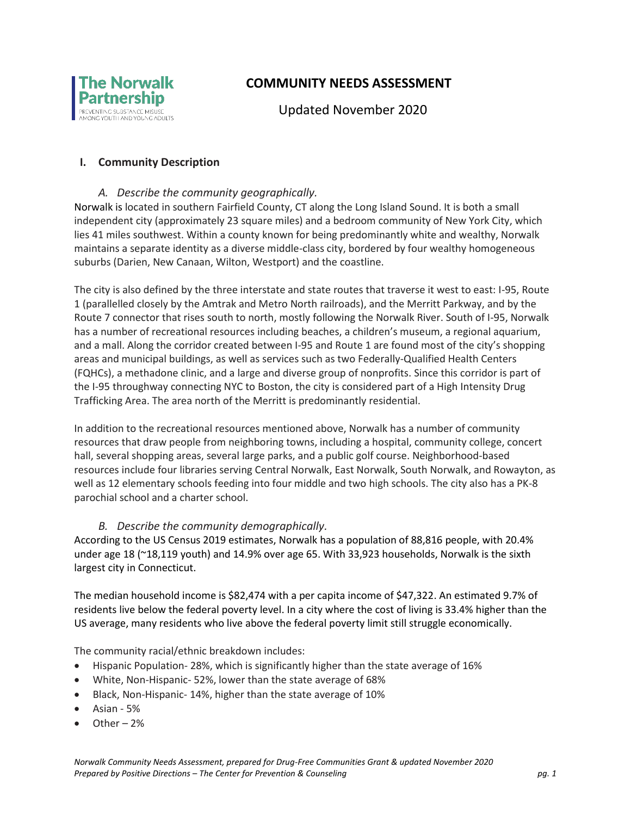

# **COMMUNITY NEEDS ASSESSMENT**

Updated November 2020

### **I. Community Description**

#### *A. Describe the community geographically.*

Norwalk is located in southern Fairfield County, CT along the Long Island Sound. It is both a small independent city (approximately 23 square miles) and a bedroom community of New York City, which lies 41 miles southwest. Within a county known for being predominantly white and wealthy, Norwalk maintains a separate identity as a diverse middle-class city, bordered by four wealthy homogeneous suburbs (Darien, New Canaan, Wilton, Westport) and the coastline.

The city is also defined by the three interstate and state routes that traverse it west to east: I-95, Route 1 (parallelled closely by the Amtrak and Metro North railroads), and the Merritt Parkway, and by the Route 7 connector that rises south to north, mostly following the Norwalk River. South of I-95, Norwalk has a number of recreational resources including beaches, a children's museum, a regional aquarium, and a mall. Along the corridor created between I-95 and Route 1 are found most of the city's shopping areas and municipal buildings, as well as services such as two Federally-Qualified Health Centers (FQHCs), a methadone clinic, and a large and diverse group of nonprofits. Since this corridor is part of the I-95 throughway connecting NYC to Boston, the city is considered part of a High Intensity Drug Trafficking Area. The area north of the Merritt is predominantly residential.

In addition to the recreational resources mentioned above, Norwalk has a number of community resources that draw people from neighboring towns, including a hospital, community college, concert hall, several shopping areas, several large parks, and a public golf course. Neighborhood-based resources include four libraries serving Central Norwalk, East Norwalk, South Norwalk, and Rowayton, as well as 12 elementary schools feeding into four middle and two high schools. The city also has a PK-8 parochial school and a charter school.

#### *B. Describe the community demographically.*

According to the US Census 2019 estimates, Norwalk has a population of 88,816 people, with 20.4% under age 18 (~18,119 youth) and 14.9% over age 65. With 33,923 households, Norwalk is the sixth largest city in Connecticut.

The median household income is \$82,474 with a per capita income of \$47,322. An estimated 9.7% of residents live below the federal poverty level. In a city where the cost of living is 33.4% higher than the US average, many residents who live above the federal poverty limit still struggle economically.

The community racial/ethnic breakdown includes:

- Hispanic Population- 28%, which is significantly higher than the state average of 16%
- White, Non-Hispanic- 52%, lower than the state average of 68%
- Black, Non-Hispanic- 14%, higher than the state average of 10%
- Asian 5%
- Other 2%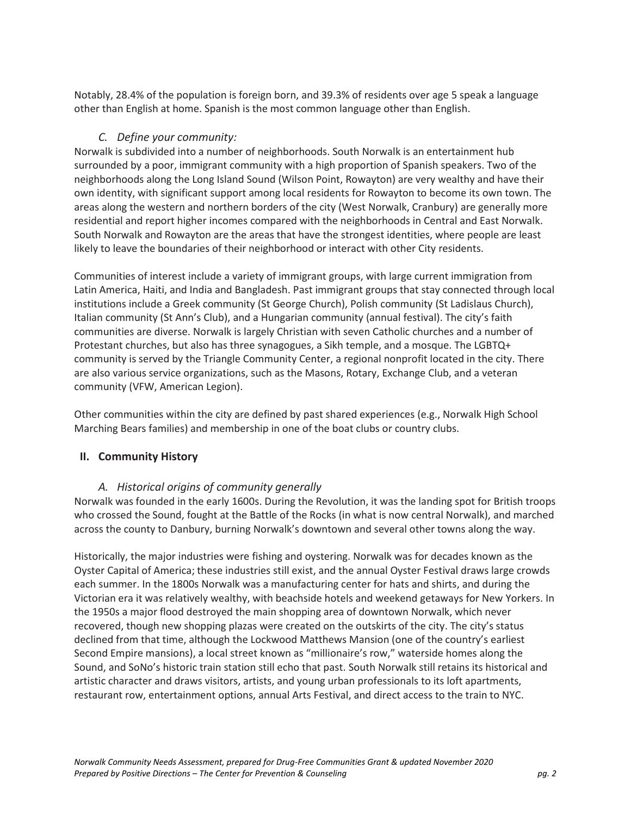Notably, 28.4% of the population is foreign born, and 39.3% of residents over age 5 speak a language other than English at home. Spanish is the most common language other than English.

### *C. Define your community:*

Norwalk is subdivided into a number of neighborhoods. South Norwalk is an entertainment hub surrounded by a poor, immigrant community with a high proportion of Spanish speakers. Two of the neighborhoods along the Long Island Sound (Wilson Point, Rowayton) are very wealthy and have their own identity, with significant support among local residents for Rowayton to become its own town. The areas along the western and northern borders of the city (West Norwalk, Cranbury) are generally more residential and report higher incomes compared with the neighborhoods in Central and East Norwalk. South Norwalk and Rowayton are the areas that have the strongest identities, where people are least likely to leave the boundaries of their neighborhood or interact with other City residents.

Communities of interest include a variety of immigrant groups, with large current immigration from Latin America, Haiti, and India and Bangladesh. Past immigrant groups that stay connected through local institutions include a Greek community (St George Church), Polish community (St Ladislaus Church), Italian community (St Ann's Club), and a Hungarian community (annual festival). The city's faith communities are diverse. Norwalk is largely Christian with seven Catholic churches and a number of Protestant churches, but also has three synagogues, a Sikh temple, and a mosque. The LGBTQ+ community is served by the Triangle Community Center, a regional nonprofit located in the city. There are also various service organizations, such as the Masons, Rotary, Exchange Club, and a veteran community (VFW, American Legion).

Other communities within the city are defined by past shared experiences (e.g., Norwalk High School Marching Bears families) and membership in one of the boat clubs or country clubs.

# **II. Community History**

# *A. Historical origins of community generally*

Norwalk was founded in the early 1600s. During the Revolution, it was the landing spot for British troops who crossed the Sound, fought at the Battle of the Rocks (in what is now central Norwalk), and marched across the county to Danbury, burning Norwalk's downtown and several other towns along the way.

Historically, the major industries were fishing and oystering. Norwalk was for decades known as the Oyster Capital of America; these industries still exist, and the annual Oyster Festival draws large crowds each summer. In the 1800s Norwalk was a manufacturing center for hats and shirts, and during the Victorian era it was relatively wealthy, with beachside hotels and weekend getaways for New Yorkers. In the 1950s a major flood destroyed the main shopping area of downtown Norwalk, which never recovered, though new shopping plazas were created on the outskirts of the city. The city's status declined from that time, although the Lockwood Matthews Mansion (one of the country's earliest Second Empire mansions), a local street known as "millionaire's row," waterside homes along the Sound, and SoNo's historic train station still echo that past. South Norwalk still retains its historical and artistic character and draws visitors, artists, and young urban professionals to its loft apartments, restaurant row, entertainment options, annual Arts Festival, and direct access to the train to NYC.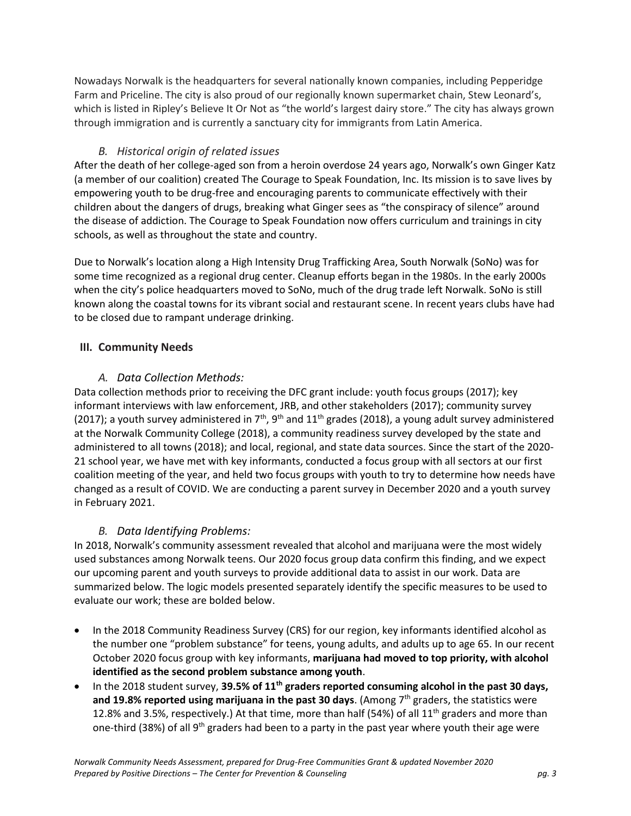Nowadays Norwalk is the headquarters for several nationally known companies, including Pepperidge Farm and Priceline. The city is also proud of our regionally known supermarket chain, Stew Leonard's, which is listed in Ripley's Believe It Or Not as "the world's largest dairy store." The city has always grown through immigration and is currently a sanctuary city for immigrants from Latin America.

### *B. Historical origin of related issues*

After the death of her college-aged son from a heroin overdose 24 years ago, Norwalk's own Ginger Katz (a member of our coalition) created The Courage to Speak Foundation, Inc. Its mission is to save lives by empowering youth to be drug-free and encouraging parents to communicate effectively with their children about the dangers of drugs, breaking what Ginger sees as "the conspiracy of silence" around the disease of addiction. The Courage to Speak Foundation now offers curriculum and trainings in city schools, as well as throughout the state and country.

Due to Norwalk's location along a High Intensity Drug Trafficking Area, South Norwalk (SoNo) was for some time recognized as a regional drug center. Cleanup efforts began in the 1980s. In the early 2000s when the city's police headquarters moved to SoNo, much of the drug trade left Norwalk. SoNo is still known along the coastal towns for its vibrant social and restaurant scene. In recent years clubs have had to be closed due to rampant underage drinking.

### **III. Community Needs**

### *A. Data Collection Methods:*

Data collection methods prior to receiving the DFC grant include: youth focus groups (2017); key informant interviews with law enforcement, JRB, and other stakeholders (2017); community survey (2017); a youth survey administered in  $7<sup>th</sup>$ , 9<sup>th</sup> and  $11<sup>th</sup>$  grades (2018), a young adult survey administered at the Norwalk Community College (2018), a community readiness survey developed by the state and administered to all towns (2018); and local, regional, and state data sources. Since the start of the 2020- 21 school year, we have met with key informants, conducted a focus group with all sectors at our first coalition meeting of the year, and held two focus groups with youth to try to determine how needs have changed as a result of COVID. We are conducting a parent survey in December 2020 and a youth survey in February 2021.

# *B. Data Identifying Problems:*

In 2018, Norwalk's community assessment revealed that alcohol and marijuana were the most widely used substances among Norwalk teens. Our 2020 focus group data confirm this finding, and we expect our upcoming parent and youth surveys to provide additional data to assist in our work. Data are summarized below. The logic models presented separately identify the specific measures to be used to evaluate our work; these are bolded below.

- In the 2018 Community Readiness Survey (CRS) for our region, key informants identified alcohol as the number one "problem substance" for teens, young adults, and adults up to age 65. In our recent October 2020 focus group with key informants, **marijuana had moved to top priority, with alcohol identified as the second problem substance among youth**.
- In the 2018 student survey, **39.5% of 11th graders reported consuming alcohol in the past 30 days,**  and 19.8% reported using marijuana in the past 30 days. (Among 7<sup>th</sup> graders, the statistics were 12.8% and 3.5%, respectively.) At that time, more than half (54%) of all 11<sup>th</sup> graders and more than one-third (38%) of all 9<sup>th</sup> graders had been to a party in the past year where youth their age were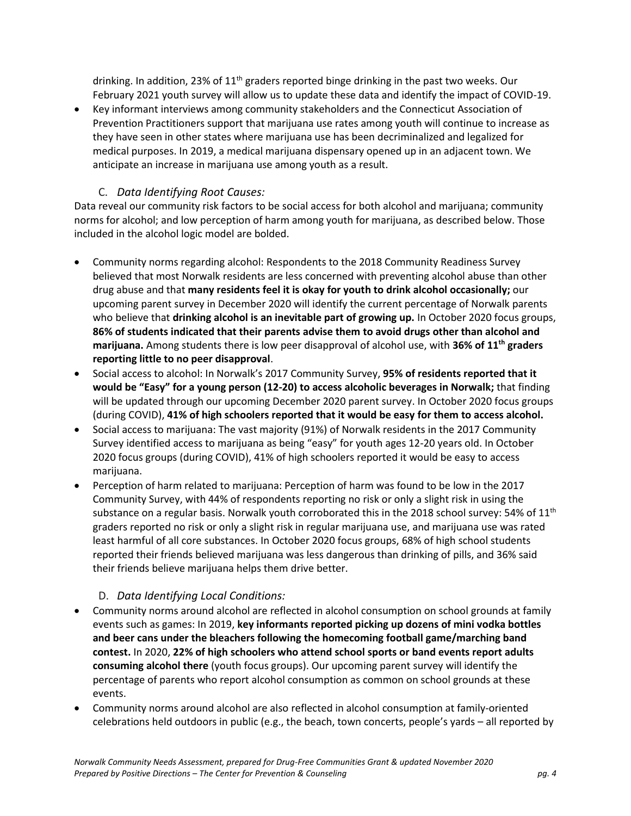drinking. In addition, 23% of  $11<sup>th</sup>$  graders reported binge drinking in the past two weeks. Our February 2021 youth survey will allow us to update these data and identify the impact of COVID-19.

 Key informant interviews among community stakeholders and the Connecticut Association of Prevention Practitioners support that marijuana use rates among youth will continue to increase as they have seen in other states where marijuana use has been decriminalized and legalized for medical purposes. In 2019, a medical marijuana dispensary opened up in an adjacent town. We anticipate an increase in marijuana use among youth as a result.

# C. *Data Identifying Root Causes:*

Data reveal our community risk factors to be social access for both alcohol and marijuana; community norms for alcohol; and low perception of harm among youth for marijuana, as described below. Those included in the alcohol logic model are bolded.

- Community norms regarding alcohol: Respondents to the 2018 Community Readiness Survey believed that most Norwalk residents are less concerned with preventing alcohol abuse than other drug abuse and that **many residents feel it is okay for youth to drink alcohol occasionally;** our upcoming parent survey in December 2020 will identify the current percentage of Norwalk parents who believe that **drinking alcohol is an inevitable part of growing up.** In October 2020 focus groups, **86% of students indicated that their parents advise them to avoid drugs other than alcohol and marijuana.** Among students there is low peer disapproval of alcohol use, with **36% of 11th graders reporting little to no peer disapproval**.
- Social access to alcohol: In Norwalk's 2017 Community Survey, **95% of residents reported that it would be "Easy" for a young person (12-20) to access alcoholic beverages in Norwalk;** that finding will be updated through our upcoming December 2020 parent survey. In October 2020 focus groups (during COVID), **41% of high schoolers reported that it would be easy for them to access alcohol.**
- Social access to marijuana: The vast majority (91%) of Norwalk residents in the 2017 Community Survey identified access to marijuana as being "easy" for youth ages 12-20 years old. In October 2020 focus groups (during COVID), 41% of high schoolers reported it would be easy to access marijuana.
- Perception of harm related to marijuana: Perception of harm was found to be low in the 2017 Community Survey, with 44% of respondents reporting no risk or only a slight risk in using the substance on a regular basis. Norwalk youth corroborated this in the 2018 school survey: 54% of 11<sup>th</sup> graders reported no risk or only a slight risk in regular marijuana use, and marijuana use was rated least harmful of all core substances. In October 2020 focus groups, 68% of high school students reported their friends believed marijuana was less dangerous than drinking of pills, and 36% said their friends believe marijuana helps them drive better.

# D. *Data Identifying Local Conditions:*

- Community norms around alcohol are reflected in alcohol consumption on school grounds at family events such as games: In 2019, **key informants reported picking up dozens of mini vodka bottles and beer cans under the bleachers following the homecoming football game/marching band contest.** In 2020, **22% of high schoolers who attend school sports or band events report adults consuming alcohol there** (youth focus groups). Our upcoming parent survey will identify the percentage of parents who report alcohol consumption as common on school grounds at these events.
- Community norms around alcohol are also reflected in alcohol consumption at family-oriented celebrations held outdoors in public (e.g., the beach, town concerts, people's yards – all reported by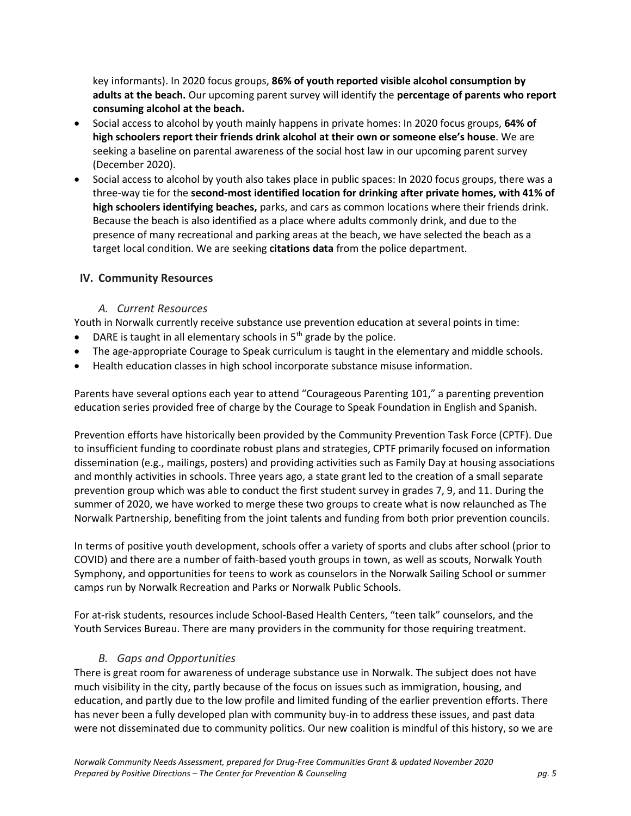key informants). In 2020 focus groups, **86% of youth reported visible alcohol consumption by adults at the beach.** Our upcoming parent survey will identify the **percentage of parents who report consuming alcohol at the beach.** 

- Social access to alcohol by youth mainly happens in private homes: In 2020 focus groups, **64% of high schoolers report their friends drink alcohol at their own or someone else's house**. We are seeking a baseline on parental awareness of the social host law in our upcoming parent survey (December 2020).
- Social access to alcohol by youth also takes place in public spaces: In 2020 focus groups, there was a three-way tie for the **second-most identified location for drinking after private homes, with 41% of high schoolers identifying beaches,** parks, and cars as common locations where their friends drink. Because the beach is also identified as a place where adults commonly drink, and due to the presence of many recreational and parking areas at the beach, we have selected the beach as a target local condition. We are seeking **citations data** from the police department.

### **IV. Community Resources**

#### *A. Current Resources*

Youth in Norwalk currently receive substance use prevention education at several points in time:

- DARE is taught in all elementary schools in  $5<sup>th</sup>$  grade by the police.
- The age-appropriate Courage to Speak curriculum is taught in the elementary and middle schools.
- Health education classes in high school incorporate substance misuse information.

Parents have several options each year to attend "Courageous Parenting 101," a parenting prevention education series provided free of charge by the Courage to Speak Foundation in English and Spanish.

Prevention efforts have historically been provided by the Community Prevention Task Force (CPTF). Due to insufficient funding to coordinate robust plans and strategies, CPTF primarily focused on information dissemination (e.g., mailings, posters) and providing activities such as Family Day at housing associations and monthly activities in schools. Three years ago, a state grant led to the creation of a small separate prevention group which was able to conduct the first student survey in grades 7, 9, and 11. During the summer of 2020, we have worked to merge these two groups to create what is now relaunched as The Norwalk Partnership, benefiting from the joint talents and funding from both prior prevention councils.

In terms of positive youth development, schools offer a variety of sports and clubs after school (prior to COVID) and there are a number of faith-based youth groups in town, as well as scouts, Norwalk Youth Symphony, and opportunities for teens to work as counselors in the Norwalk Sailing School or summer camps run by Norwalk Recreation and Parks or Norwalk Public Schools.

For at-risk students, resources include School-Based Health Centers, "teen talk" counselors, and the Youth Services Bureau. There are many providers in the community for those requiring treatment.

#### *B. Gaps and Opportunities*

There is great room for awareness of underage substance use in Norwalk. The subject does not have much visibility in the city, partly because of the focus on issues such as immigration, housing, and education, and partly due to the low profile and limited funding of the earlier prevention efforts. There has never been a fully developed plan with community buy-in to address these issues, and past data were not disseminated due to community politics. Our new coalition is mindful of this history, so we are